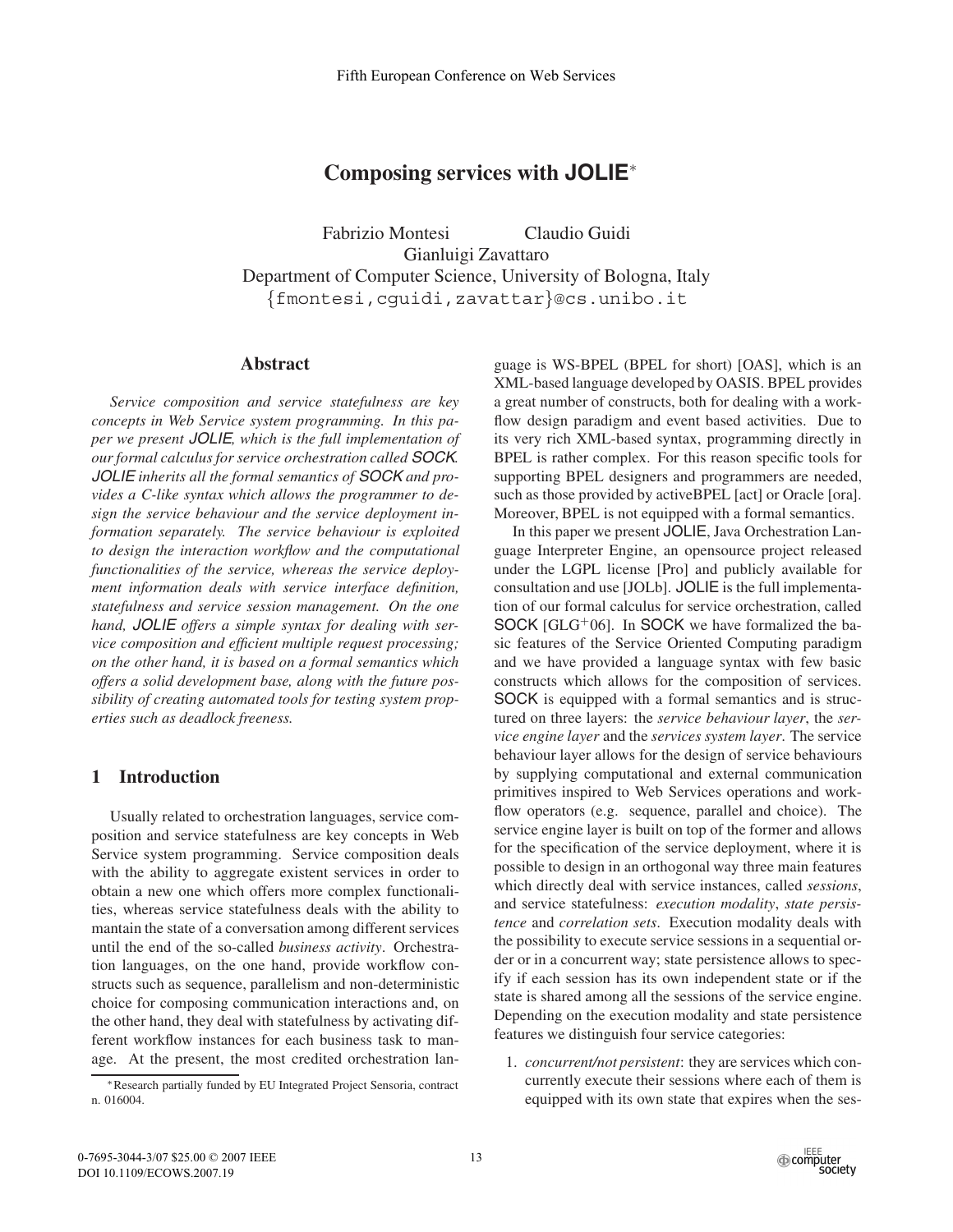# **Composing services with JOLIE**<sup>∗</sup>

Fabrizio Montesi Claudio Guidi Gianluigi Zavattaro Department of Computer Science, University of Bologna, Italy {fmontesi,cguidi,zavattar}@cs.unibo.it

#### **Abstract**

*Service composition and service statefulness are key concepts in Web Service system programming. In this paper we present* JOLIE*, which is the full implementation of our formal calculus for service orchestration called* SOCK*.* JOLIE *inherits all the formal semantics of* SOCK *and provides a C-like syntax which allows the programmer to design the service behaviour and the service deployment information separately. The service behaviour is exploited to design the interaction workflow and the computational functionalities of the service, whereas the service deployment information deals with service interface definition, statefulness and service session management. On the one hand,* JOLIE *offers a simple syntax for dealing with service composition and efficient multiple request processing; on the other hand, it is based on a formal semantics which offers a solid development base, along with the future possibility of creating automated tools for testing system properties such as deadlock freeness.*

#### **1 Introduction**

Usually related to orchestration languages, service composition and service statefulness are key concepts in Web Service system programming. Service composition deals with the ability to aggregate existent services in order to obtain a new one which offers more complex functionalities, whereas service statefulness deals with the ability to mantain the state of a conversation among different services until the end of the so-called *business activity*. Orchestration languages, on the one hand, provide workflow constructs such as sequence, parallelism and non-deterministic choice for composing communication interactions and, on the other hand, they deal with statefulness by activating different workflow instances for each business task to manage. At the present, the most credited orchestration lan-

guage is WS-BPEL (BPEL for short) [OAS], which is an XML-based language developed by OASIS. BPEL provides a great number of constructs, both for dealing with a workflow design paradigm and event based activities. Due to its very rich XML-based syntax, programming directly in BPEL is rather complex. For this reason specific tools for supporting BPEL designers and programmers are needed, such as those provided by activeBPEL [act] or Oracle [ora]. Moreover, BPEL is not equipped with a formal semantics.

In this paper we present JOLIE, Java Orchestration Language Interpreter Engine, an opensource project released under the LGPL license [Pro] and publicly available for consultation and use [JOLb]. JOLIE is the full implementation of our formal calculus for service orchestration, called SOCK [GLG<sup>+</sup>06]. In SOCK we have formalized the basic features of the Service Oriented Computing paradigm and we have provided a language syntax with few basic constructs which allows for the composition of services. SOCK is equipped with a formal semantics and is structured on three layers: the *service behaviour layer*, the *service engine layer* and the *services system layer*. The service behaviour layer allows for the design of service behaviours by supplying computational and external communication primitives inspired to Web Services operations and workflow operators (e.g. sequence, parallel and choice). The service engine layer is built on top of the former and allows for the specification of the service deployment, where it is possible to design in an orthogonal way three main features which directly deal with service instances, called *sessions*, and service statefulness: *execution modality*, *state persistence* and *correlation sets*. Execution modality deals with the possibility to execute service sessions in a sequential order or in a concurrent way; state persistence allows to specify if each session has its own independent state or if the state is shared among all the sessions of the service engine. Depending on the execution modality and state persistence features we distinguish four service categories:

1. *concurrent/not persistent*: they are services which concurrently execute their sessions where each of them is equipped with its own state that expires when the ses-

<sup>∗</sup>Research partially funded by EU Integrated Project Sensoria, contract n. 016004.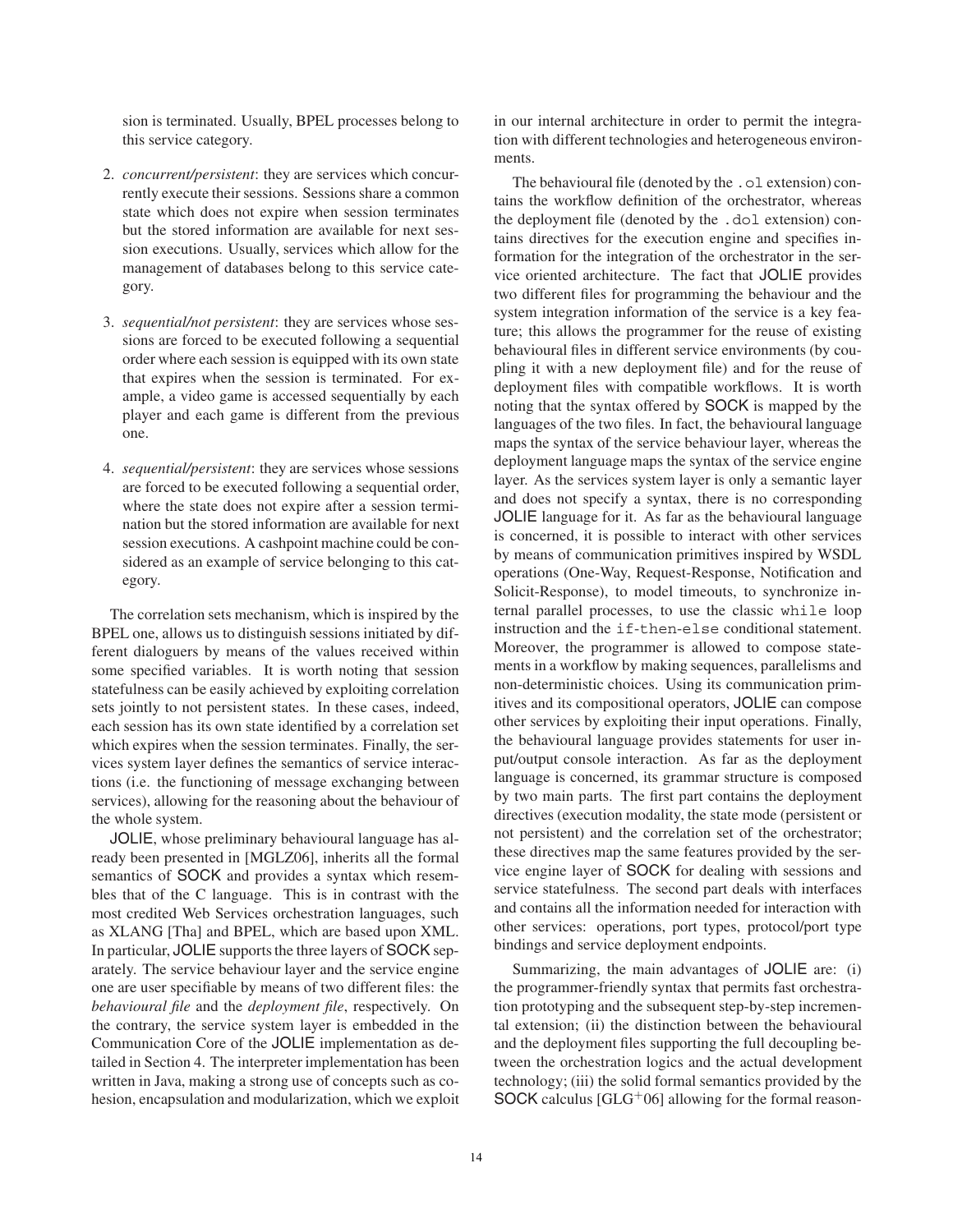sion is terminated. Usually, BPEL processes belong to this service category.

- 2. *concurrent/persistent*: they are services which concurrently execute their sessions. Sessions share a common state which does not expire when session terminates but the stored information are available for next session executions. Usually, services which allow for the management of databases belong to this service category.
- 3. *sequential/not persistent*: they are services whose sessions are forced to be executed following a sequential order where each session is equipped with its own state that expires when the session is terminated. For example, a video game is accessed sequentially by each player and each game is different from the previous one.
- 4. *sequential/persistent*: they are services whose sessions are forced to be executed following a sequential order, where the state does not expire after a session termination but the stored information are available for next session executions. A cashpoint machine could be considered as an example of service belonging to this category.

The correlation sets mechanism, which is inspired by the BPEL one, allows us to distinguish sessions initiated by different dialoguers by means of the values received within some specified variables. It is worth noting that session statefulness can be easily achieved by exploiting correlation sets jointly to not persistent states. In these cases, indeed, each session has its own state identified by a correlation set which expires when the session terminates. Finally, the services system layer defines the semantics of service interactions (i.e. the functioning of message exchanging between services), allowing for the reasoning about the behaviour of the whole system.

JOLIE, whose preliminary behavioural language has already been presented in [MGLZ06], inherits all the formal semantics of SOCK and provides a syntax which resembles that of the C language. This is in contrast with the most credited Web Services orchestration languages, such as XLANG [Tha] and BPEL, which are based upon XML. In particular, JOLIE supports the three layers of SOCK separately. The service behaviour layer and the service engine one are user specifiable by means of two different files: the *behavioural file* and the *deployment file*, respectively. On the contrary, the service system layer is embedded in the Communication Core of the JOLIE implementation as detailed in Section 4. The interpreter implementation has been written in Java, making a strong use of concepts such as cohesion, encapsulation and modularization, which we exploit in our internal architecture in order to permit the integration with different technologies and heterogeneous environments.

The behavioural file (denoted by the . o1 extension) contains the workflow definition of the orchestrator, whereas the deployment file (denoted by the .dol extension) contains directives for the execution engine and specifies information for the integration of the orchestrator in the service oriented architecture. The fact that JOLIE provides two different files for programming the behaviour and the system integration information of the service is a key feature; this allows the programmer for the reuse of existing behavioural files in different service environments (by coupling it with a new deployment file) and for the reuse of deployment files with compatible workflows. It is worth noting that the syntax offered by SOCK is mapped by the languages of the two files. In fact, the behavioural language maps the syntax of the service behaviour layer, whereas the deployment language maps the syntax of the service engine layer. As the services system layer is only a semantic layer and does not specify a syntax, there is no corresponding JOLIE language for it. As far as the behavioural language is concerned, it is possible to interact with other services by means of communication primitives inspired by WSDL operations (One-Way, Request-Response, Notification and Solicit-Response), to model timeouts, to synchronize internal parallel processes, to use the classic while loop instruction and the if-then-else conditional statement. Moreover, the programmer is allowed to compose statements in a workflow by making sequences, parallelisms and non-deterministic choices. Using its communication primitives and its compositional operators, JOLIE can compose other services by exploiting their input operations. Finally, the behavioural language provides statements for user input/output console interaction. As far as the deployment language is concerned, its grammar structure is composed by two main parts. The first part contains the deployment directives (execution modality, the state mode (persistent or not persistent) and the correlation set of the orchestrator; these directives map the same features provided by the service engine layer of SOCK for dealing with sessions and service statefulness. The second part deals with interfaces and contains all the information needed for interaction with other services: operations, port types, protocol/port type bindings and service deployment endpoints.

Summarizing, the main advantages of JOLIE are: (i) the programmer-friendly syntax that permits fast orchestration prototyping and the subsequent step-by-step incremental extension; (ii) the distinction between the behavioural and the deployment files supporting the full decoupling between the orchestration logics and the actual development technology; (iii) the solid formal semantics provided by the SOCK calculus  $[GLG^{+}06]$  allowing for the formal reason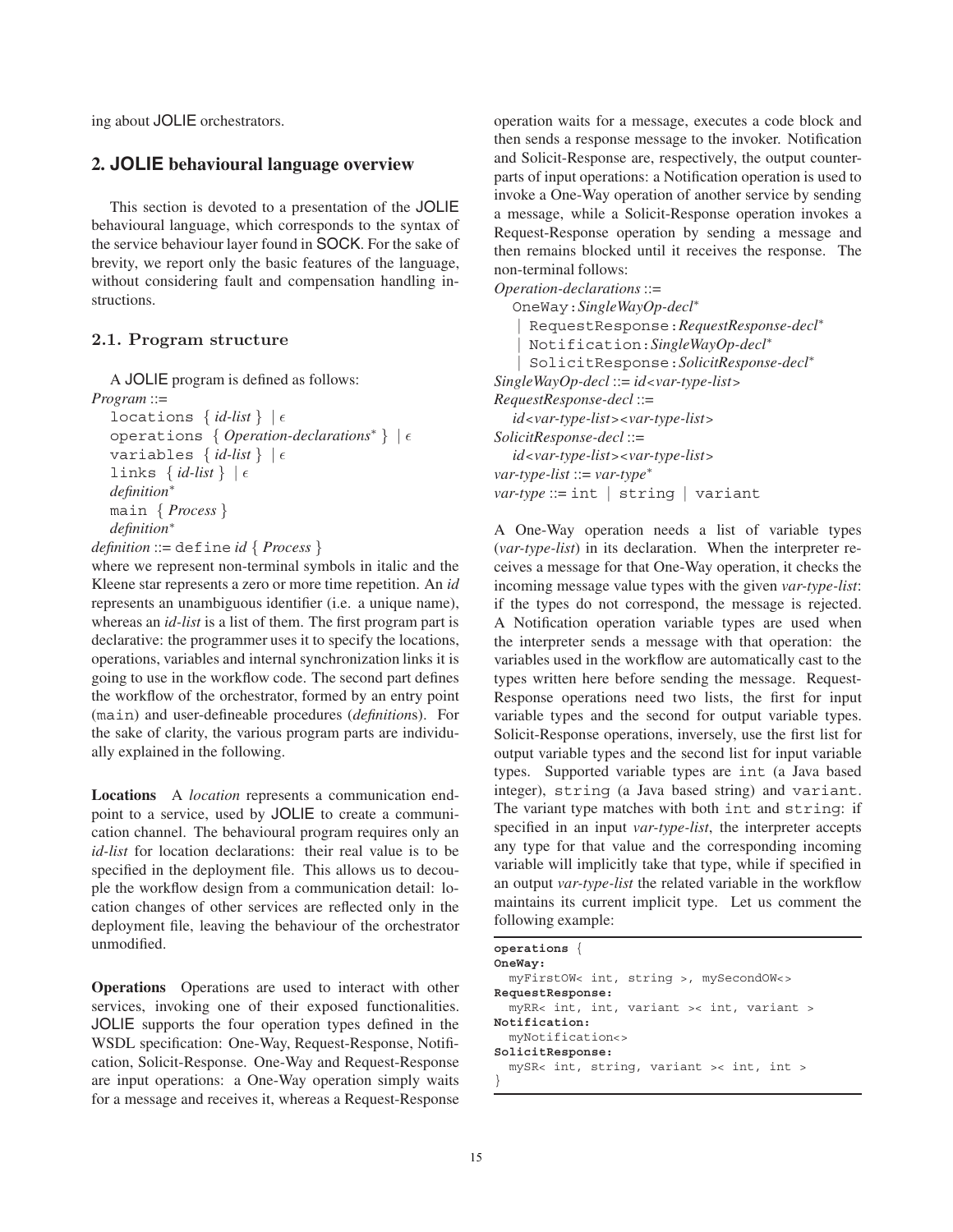ing about JOLIE orchestrators.

### **2. JOLIE behavioural language overview**

This section is devoted to a presentation of the JOLIE behavioural language, which corresponds to the syntax of the service behaviour layer found in SOCK. For the sake of brevity, we report only the basic features of the language, without considering fault and compensation handling instructions.

#### **2.1. Program structure**

A JOLIE program is defined as follows: *Program* ::= locations  $\{id\text{-}list\}$   $\epsilon$ operations { *Operation-declarations*<sup>∗</sup> } | variables  $\{id\text{-}list\} \mid \epsilon$ links  $\{id-list\} | \epsilon$ *definition*<sup>∗</sup> main { *Process* } *definition*<sup>∗</sup> *definition* ::= define *id* { *Process* }

where we represent non-terminal symbols in italic and the Kleene star represents a zero or more time repetition. An *id* represents an unambiguous identifier (i.e. a unique name), whereas an *id-list* is a list of them. The first program part is declarative: the programmer uses it to specify the locations, operations, variables and internal synchronization links it is going to use in the workflow code. The second part defines the workflow of the orchestrator, formed by an entry point (main) and user-defineable procedures (*definition*s). For the sake of clarity, the various program parts are individually explained in the following.

**Locations** A *location* represents a communication endpoint to a service, used by JOLIE to create a communication channel. The behavioural program requires only an *id-list* for location declarations: their real value is to be specified in the deployment file. This allows us to decouple the workflow design from a communication detail: location changes of other services are reflected only in the deployment file, leaving the behaviour of the orchestrator unmodified.

**Operations** Operations are used to interact with other services, invoking one of their exposed functionalities. JOLIE supports the four operation types defined in the WSDL specification: One-Way, Request-Response, Notification, Solicit-Response. One-Way and Request-Response are input operations: a One-Way operation simply waits for a message and receives it, whereas a Request-Response

operation waits for a message, executes a code block and then sends a response message to the invoker. Notification and Solicit-Response are, respectively, the output counterparts of input operations: a Notification operation is used to invoke a One-Way operation of another service by sending a message, while a Solicit-Response operation invokes a Request-Response operation by sending a message and then remains blocked until it receives the response. The non-terminal follows:

*Operation-declarations*::= OneWay:*SingleWayOp-decl*<sup>∗</sup> | RequestResponse:*RequestResponse-decl*<sup>∗</sup> | Notification:*SingleWayOp-decl*<sup>∗</sup> | SolicitResponse:*SolicitResponse-decl*<sup>∗</sup> *SingleWayOp-decl* ::= *id*<*var-type-list*> *RequestResponse-decl* ::= *id*<*var-type-list*><*var-type-list*> *SolicitResponse-decl* ::= *id*<*var-type-list*><*var-type-list*> *var-type-list* ::= *var-type*<sup>∗</sup> *var-type* ::= int | string | variant

A One-Way operation needs a list of variable types (*var-type-list*) in its declaration. When the interpreter receives a message for that One-Way operation, it checks the incoming message value types with the given *var-type-list*: if the types do not correspond, the message is rejected. A Notification operation variable types are used when the interpreter sends a message with that operation: the variables used in the workflow are automatically cast to the types written here before sending the message. Request-Response operations need two lists, the first for input variable types and the second for output variable types. Solicit-Response operations, inversely, use the first list for output variable types and the second list for input variable types. Supported variable types are int (a Java based integer), string (a Java based string) and variant. The variant type matches with both int and string: if specified in an input *var-type-list*, the interpreter accepts any type for that value and the corresponding incoming variable will implicitly take that type, while if specified in an output *var-type-list* the related variable in the workflow maintains its current implicit type. Let us comment the following example:

| operations $\{$                           |
|-------------------------------------------|
| OneWay:                                   |
| myFirstOW< int, string >, mySecondOW<>    |
| RequestResponse:                          |
| myRR< int, int, variant >< int, variant > |
| Notification:                             |
| myNotification<>                          |
| SolicitResponse:                          |
| mySR< int, string, variant >< int, int >  |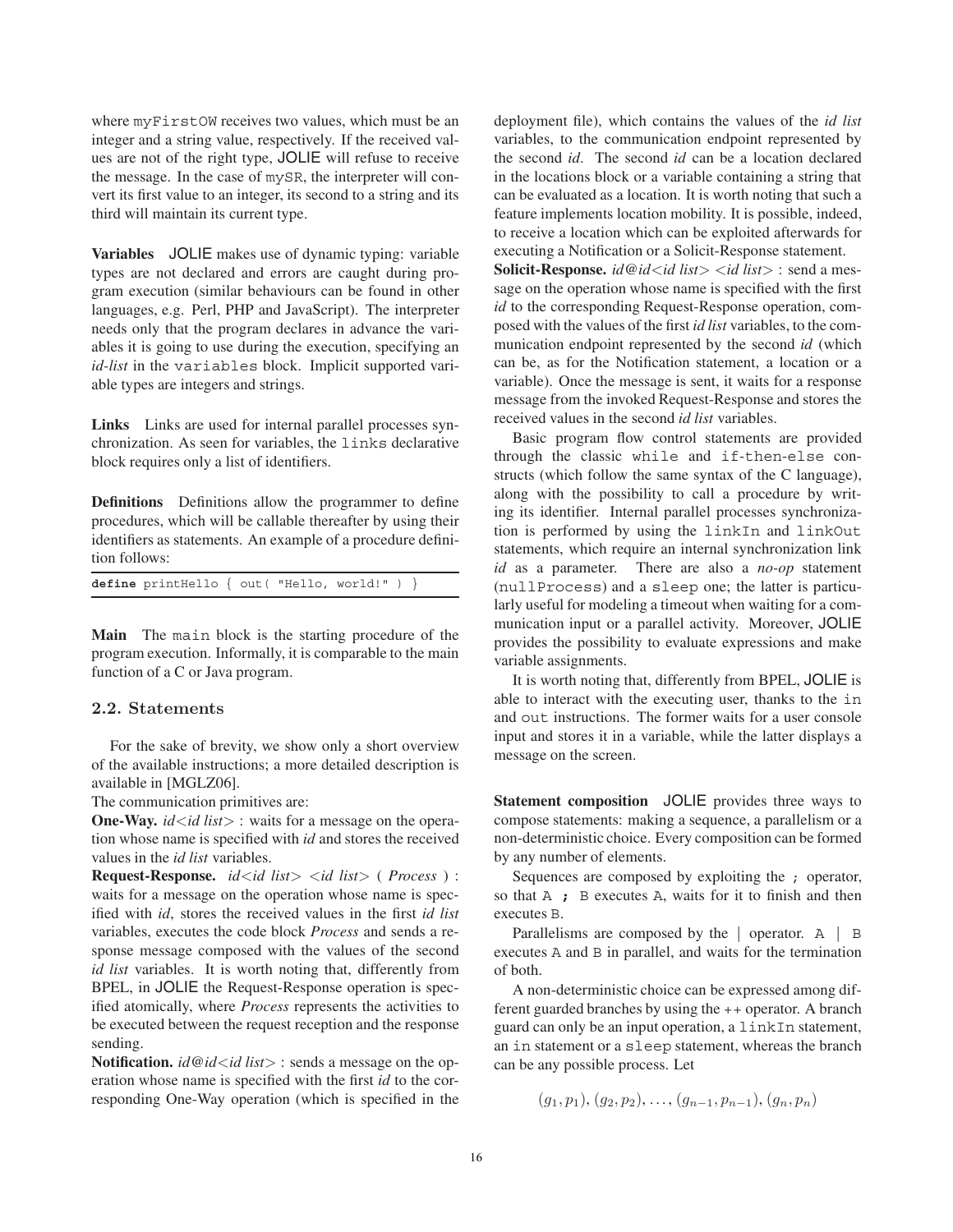where myFirstOW receives two values, which must be an integer and a string value, respectively. If the received values are not of the right type, JOLIE will refuse to receive the message. In the case of mySR, the interpreter will convert its first value to an integer, its second to a string and its third will maintain its current type.

**Variables** JOLIE makes use of dynamic typing: variable types are not declared and errors are caught during program execution (similar behaviours can be found in other languages, e.g. Perl, PHP and JavaScript). The interpreter needs only that the program declares in advance the variables it is going to use during the execution, specifying an *id-list* in the variables block. Implicit supported variable types are integers and strings.

**Links** Links are used for internal parallel processes synchronization. As seen for variables, the links declarative block requires only a list of identifiers.

**Definitions** Definitions allow the programmer to define procedures, which will be callable thereafter by using their identifiers as statements. An example of a procedure definition follows:

**define** printHello { out( "Hello, world!" ) }

**Main** The main block is the starting procedure of the program execution. Informally, it is comparable to the main function of a C or Java program.

#### **2.2. Statements**

For the sake of brevity, we show only a short overview of the available instructions; a more detailed description is available in [MGLZ06].

The communication primitives are:

**One-Way.** *id*<*id list*> : waits for a message on the operation whose name is specified with *id* and stores the received values in the *id list* variables.

**Request-Response.** *id*<*id list*> <*id list*> ( *Process* ) : waits for a message on the operation whose name is specified with *id*, stores the received values in the first *id list* variables, executes the code block *Process* and sends a response message composed with the values of the second *id list* variables. It is worth noting that, differently from BPEL, in JOLIE the Request-Response operation is specified atomically, where *Process* represents the activities to be executed between the request reception and the response sending.

**Notification.** *id*@*id*<*id list*> : sends a message on the operation whose name is specified with the first *id* to the corresponding One-Way operation (which is specified in the deployment file), which contains the values of the *id list* variables, to the communication endpoint represented by the second *id*. The second *id* can be a location declared in the locations block or a variable containing a string that can be evaluated as a location. It is worth noting that such a feature implements location mobility. It is possible, indeed, to receive a location which can be exploited afterwards for executing a Notification or a Solicit-Response statement.

**Solicit-Response.** *id*@*id*<*id list*> <*id list*> : send a message on the operation whose name is specified with the first *id* to the corresponding Request-Response operation, composed with the values of the first *id list* variables, to the communication endpoint represented by the second *id* (which can be, as for the Notification statement, a location or a variable). Once the message is sent, it waits for a response message from the invoked Request-Response and stores the received values in the second *id list* variables.

Basic program flow control statements are provided through the classic while and if-then-else constructs (which follow the same syntax of the C language), along with the possibility to call a procedure by writing its identifier. Internal parallel processes synchronization is performed by using the linkIn and linkOut statements, which require an internal synchronization link *id* as a parameter. There are also a *no-op* statement (nullProcess) and a sleep one; the latter is particularly useful for modeling a timeout when waiting for a communication input or a parallel activity. Moreover, JOLIE provides the possibility to evaluate expressions and make variable assignments.

It is worth noting that, differently from BPEL, JOLIE is able to interact with the executing user, thanks to the in and out instructions. The former waits for a user console input and stores it in a variable, while the latter displays a message on the screen.

**Statement composition** JOLIE provides three ways to compose statements: making a sequence, a parallelism or a non-deterministic choice. Every composition can be formed by any number of elements.

Sequences are composed by exploiting the ; operator, so that A **;** B executes A, waits for it to finish and then executes B.

Parallelisms are composed by the  $\vert$  operator. A  $\vert$  B executes A and B in parallel, and waits for the termination of both.

A non-deterministic choice can be expressed among different guarded branches by using the ++ operator. A branch guard can only be an input operation, a linkIn statement, an in statement or a sleep statement, whereas the branch can be any possible process. Let

$$
(g_1, p_1), (g_2, p_2), \ldots, (g_{n-1}, p_{n-1}), (g_n, p_n)
$$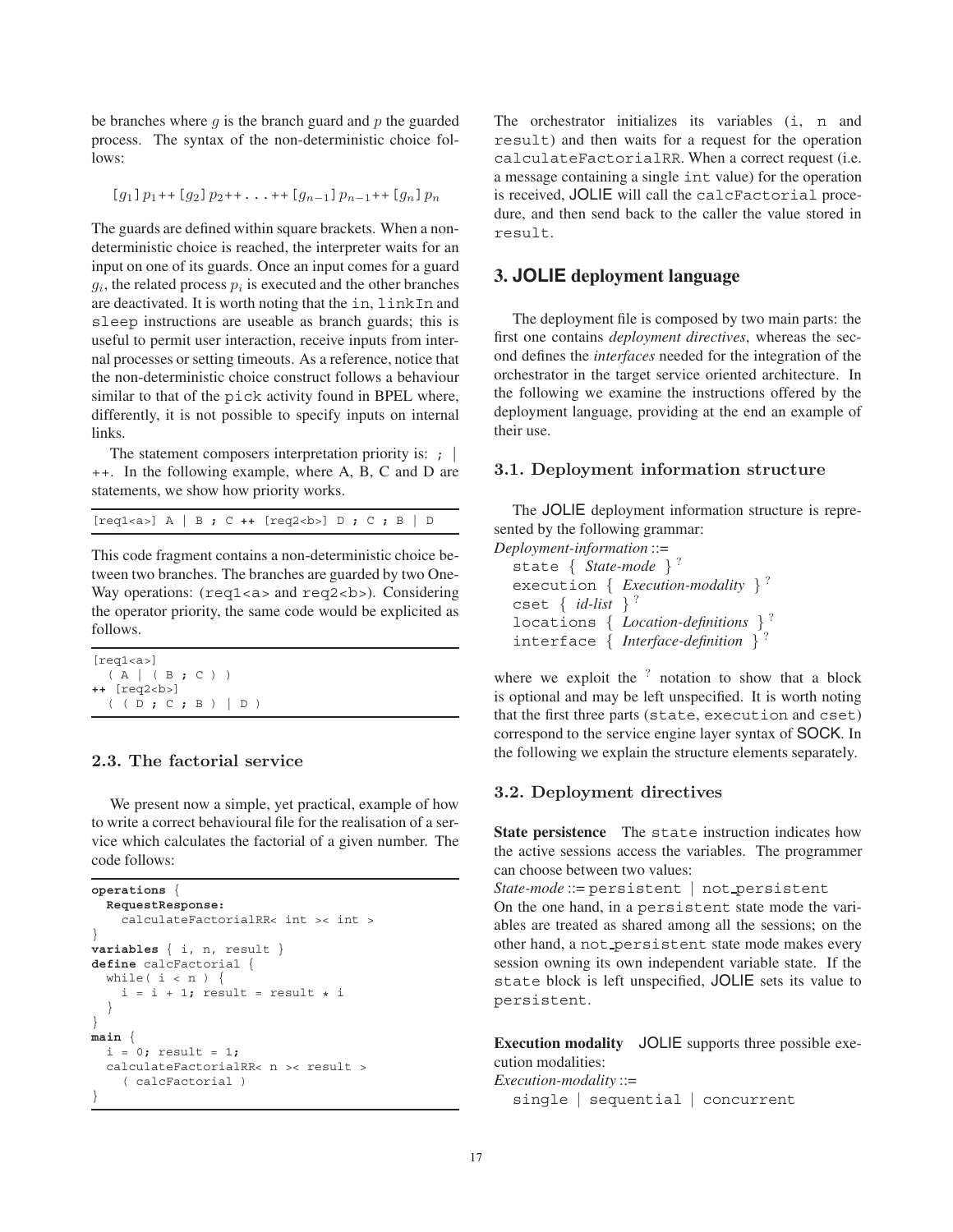be branches where  $g$  is the branch guard and  $p$  the guarded process. The syntax of the non-deterministic choice follows:

$$
[g_1] p_1 + [g_2] p_2 + \ldots + [g_{n-1}] p_{n-1} + [g_n] p_n
$$

The guards are defined within square brackets. When a nondeterministic choice is reached, the interpreter waits for an input on one of its guards. Once an input comes for a guard  $q_i$ , the related process  $p_i$  is executed and the other branches are deactivated. It is worth noting that the in, linkIn and sleep instructions are useable as branch guards; this is useful to permit user interaction, receive inputs from internal processes or setting timeouts. As a reference, notice that the non-deterministic choice construct follows a behaviour similar to that of the pick activity found in BPEL where, differently, it is not possible to specify inputs on internal links.

The statement composers interpretation priority is: ; | ++. In the following example, where A, B, C and D are statements, we show how priority works.

```
[req1<a>] A | B ; C ++ [req2<b>] D ; C ; B | D
```
This code fragment contains a non-deterministic choice between two branches. The branches are guarded by two One-Way operations: (req1<a> and req2<b>). Considering the operator priority, the same code would be explicited as follows.

| $[req1 $ ]          |  |                                         |  |  |  |  |  |  |  |  |
|---------------------|--|-----------------------------------------|--|--|--|--|--|--|--|--|
|                     |  | (A   (B; C))                            |  |  |  |  |  |  |  |  |
| $++$ [req2 <b>]</b> |  |                                         |  |  |  |  |  |  |  |  |
|                     |  | $($ $($ $D$ $;$ $C$ $;$ $B$ $)$ $ $ $D$ |  |  |  |  |  |  |  |  |

## **2.3. The factorial service**

We present now a simple, yet practical, example of how to write a correct behavioural file for the realisation of a service which calculates the factorial of a given number. The code follows:

```
operations {
  RequestResponse:
    calculateFactorialRR< int >< int >
}
variables { i, n, result }
define calcFactorial {
  while( i < n ) {
    i = i + 1; result = result * i
  }
}
main {
  i=0; result = 1;
  calculateFactorialRR< n >< result >
    ( calcFactorial )
}
```
The orchestrator initializes its variables (i, n and result) and then waits for a request for the operation calculateFactorialRR. When a correct request (i.e. a message containing a single int value) for the operation is received, JOLIE will call the calcFactorial procedure, and then send back to the caller the value stored in result.

# **3. JOLIE deployment language**

The deployment file is composed by two main parts: the first one contains *deployment directives*, whereas the second defines the *interfaces* needed for the integration of the orchestrator in the target service oriented architecture. In the following we examine the instructions offered by the deployment language, providing at the end an example of their use.

#### **3.1. Deployment information structure**

The JOLIE deployment information structure is represented by the following grammar:

| $Deployment-information ::=$  |                                              |
|-------------------------------|----------------------------------------------|
| state { State-mode } ?        |                                              |
|                               | execution { $Execution-modality$ }?          |
| cset $\{ id\text{-}list \}$ ? |                                              |
|                               | locations { $Location-definitions$ }?        |
|                               | interface { $Interface\text{-}definition$ }? |

where we exploit the  $\frac{7}{1}$  notation to show that a block is optional and may be left unspecified. It is worth noting that the first three parts (state, execution and cset) correspond to the service engine layer syntax of SOCK. In the following we explain the structure elements separately.

#### **3.2. Deployment directives**

**State persistence** The state instruction indicates how the active sessions access the variables. The programmer can choose between two values:

```
State-mode ::= persistent | not persistent
```
On the one hand, in a persistent state mode the variables are treated as shared among all the sessions; on the other hand, a not persistent state mode makes every session owning its own independent variable state. If the state block is left unspecified, JOLIE sets its value to persistent.

**Execution modality** JOLIE supports three possible execution modalities:

*Execution-modality* ::= single | sequential | concurrent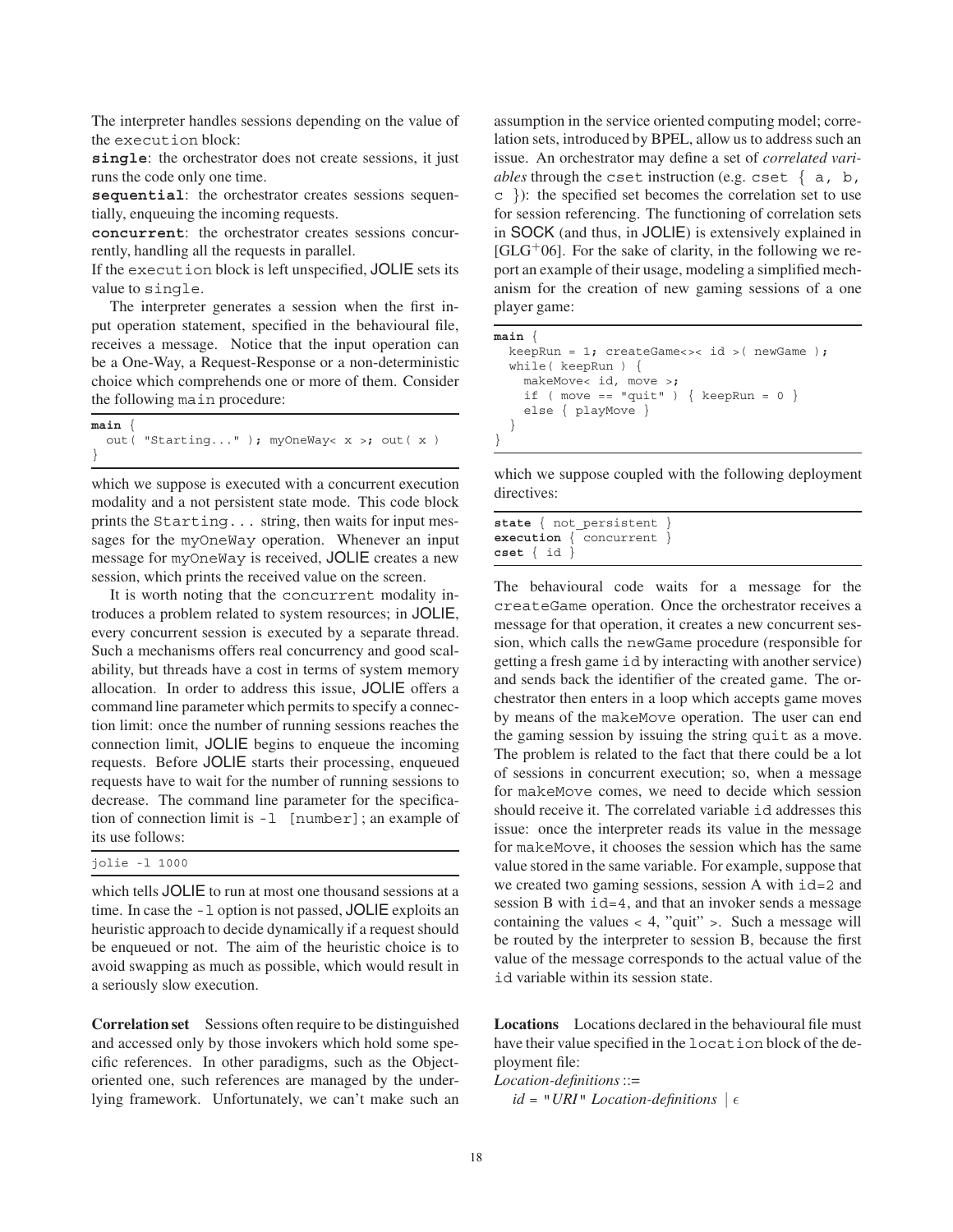The interpreter handles sessions depending on the value of the execution block:

**single**: the orchestrator does not create sessions, it just runs the code only one time.

**sequential**: the orchestrator creates sessions sequentially, enqueuing the incoming requests.

**concurrent**: the orchestrator creates sessions concurrently, handling all the requests in parallel.

If the execution block is left unspecified, JOLIE sets its value to single.

The interpreter generates a session when the first input operation statement, specified in the behavioural file, receives a message. Notice that the input operation can be a One-Way, a Request-Response or a non-deterministic choice which comprehends one or more of them. Consider the following main procedure:

| $main \{$ |                                                   |  |  |  |  |
|-----------|---------------------------------------------------|--|--|--|--|
|           | out ( "Starting" ); myOneWay< $x >$ ; out ( $x$ ) |  |  |  |  |

which we suppose is executed with a concurrent execution modality and a not persistent state mode. This code block prints the Starting... string, then waits for input messages for the myOneWay operation. Whenever an input message for myOneWay is received, JOLIE creates a new session, which prints the received value on the screen.

It is worth noting that the concurrent modality introduces a problem related to system resources; in JOLIE, every concurrent session is executed by a separate thread. Such a mechanisms offers real concurrency and good scalability, but threads have a cost in terms of system memory allocation. In order to address this issue, JOLIE offers a command line parameter which permits to specify a connection limit: once the number of running sessions reaches the connection limit, JOLIE begins to enqueue the incoming requests. Before JOLIE starts their processing, enqueued requests have to wait for the number of running sessions to decrease. The command line parameter for the specification of connection limit is -l [number]; an example of its use follows:

jolie -l 1000

which tells JOLIE to run at most one thousand sessions at a time. In case the -l option is not passed, JOLIE exploits an heuristic approach to decide dynamically if a request should be enqueued or not. The aim of the heuristic choice is to avoid swapping as much as possible, which would result in a seriously slow execution.

**Correlation set** Sessions often require to be distinguished and accessed only by those invokers which hold some specific references. In other paradigms, such as the Objectoriented one, such references are managed by the underlying framework. Unfortunately, we can't make such an

assumption in the service oriented computing model; correlation sets, introduced by BPEL, allow us to address such an issue. An orchestrator may define a set of *correlated variables* through the cset instruction (e.g. cset  $\{a, b\}$ , c }): the specified set becomes the correlation set to use for session referencing. The functioning of correlation sets in SOCK (and thus, in JOLIE) is extensively explained in  $[GLG^+06]$ . For the sake of clarity, in the following we report an example of their usage, modeling a simplified mechanism for the creation of new gaming sessions of a one player game:

| $main \{$                                                 |
|-----------------------------------------------------------|
| keepRun = 1; $createstGame \lt\gt \lt id \gt (newGame)$ ; |
| while ( $keepRun$ ) {                                     |
| makeMove< id, move >;                                     |
| if ( move == "quit" ) { keepRun = $0$ }                   |
| else $\{$ playMove $\}$                                   |
|                                                           |
|                                                           |

which we suppose coupled with the following deployment directives:

|                                   |  | state { not persistent }     |  |
|-----------------------------------|--|------------------------------|--|
|                                   |  | $execution$ { $concurrent$ } |  |
| $\texttt{cset} \{ \texttt{id} \}$ |  |                              |  |

The behavioural code waits for a message for the createGame operation. Once the orchestrator receives a message for that operation, it creates a new concurrent session, which calls the newGame procedure (responsible for getting a fresh game id by interacting with another service) and sends back the identifier of the created game. The orchestrator then enters in a loop which accepts game moves by means of the makeMove operation. The user can end the gaming session by issuing the string quit as a move. The problem is related to the fact that there could be a lot of sessions in concurrent execution; so, when a message for makeMove comes, we need to decide which session should receive it. The correlated variable id addresses this issue: once the interpreter reads its value in the message for makeMove, it chooses the session which has the same value stored in the same variable. For example, suppose that we created two gaming sessions, session A with id=2 and session B with id=4, and that an invoker sends a message containing the values  $<$  4, "quit" >. Such a message will be routed by the interpreter to session B, because the first value of the message corresponds to the actual value of the id variable within its session state.

**Locations** Locations declared in the behavioural file must have their value specified in the location block of the deployment file:

*Location-definitions*::=

 $id = "URI" Location-definitions \mid \epsilon$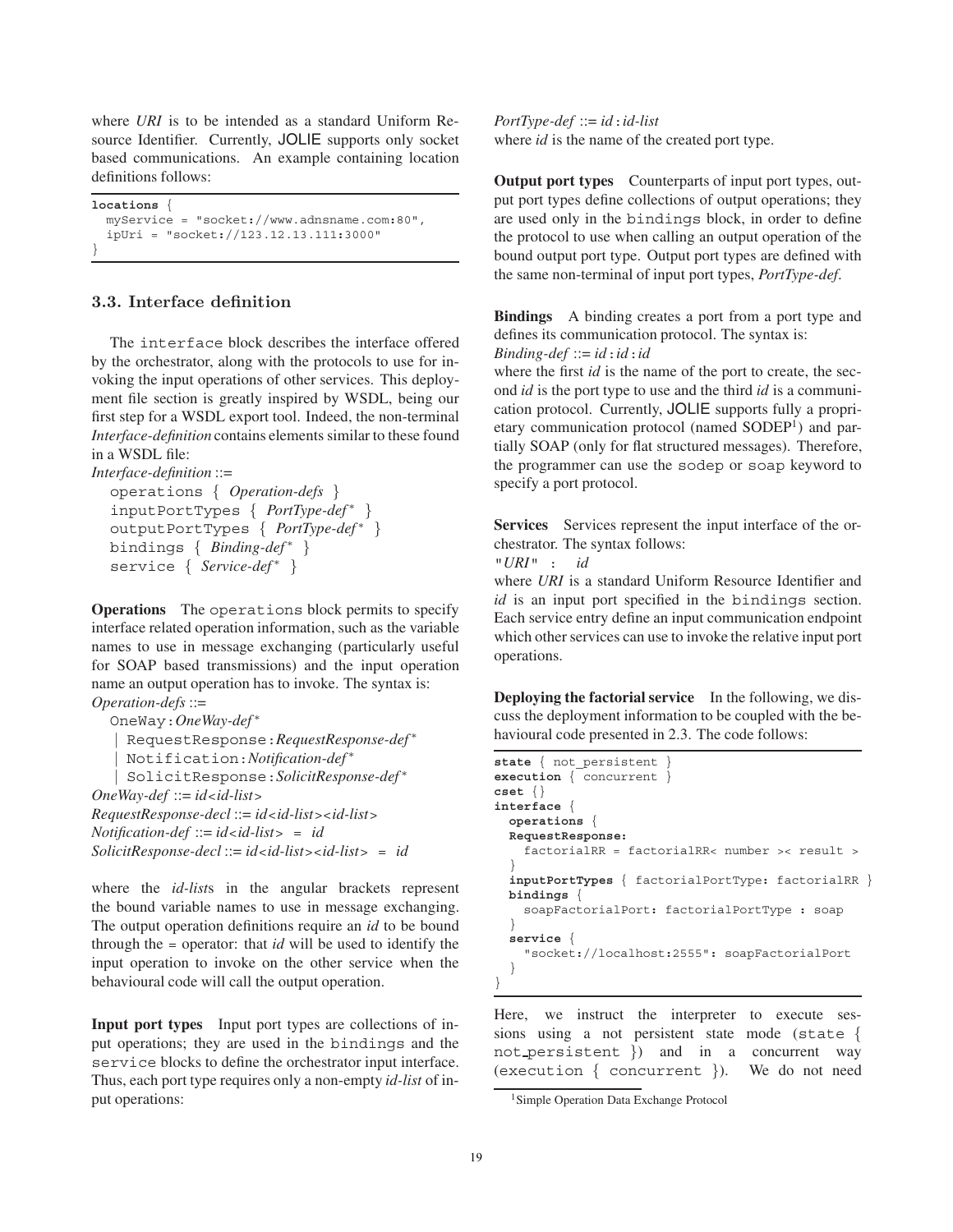where *URI* is to be intended as a standard Uniform Resource Identifier. Currently, JOLIE supports only socket based communications. An example containing location definitions follows:

```
locations {
 myService = "socket://www.adnsname.com:80",
 ipUri = "socket://123.12.13.111:3000"
}
```
### **3.3. Interface definition**

The interface block describes the interface offered by the orchestrator, along with the protocols to use for invoking the input operations of other services. This deployment file section is greatly inspired by WSDL, being our first step for a WSDL export tool. Indeed, the non-terminal *Interface-definition* contains elements similar to these found in a WSDL file:

```
Interface-definition ::=
```

```
operations { Operation-defs }
inputPortTypes { PortType-def ∗ }
outputPortTypes { PortType-def ∗ }
bindings { Binding-def ∗ }
service { Service-def ∗ }
```
**Operations** The operations block permits to specify interface related operation information, such as the variable names to use in message exchanging (particularly useful for SOAP based transmissions) and the input operation name an output operation has to invoke. The syntax is: *Operation-defs* ::=

OneWay:*OneWay-def* <sup>∗</sup> | RequestResponse:*RequestResponse-def* <sup>∗</sup> | Notification:*Notification-def* <sup>∗</sup> | SolicitResponse:*SolicitResponse-def* <sup>∗</sup> *OneWay-def* ::= *id*<*id-list*> *RequestResponse-decl* ::= *id*<*id-list*><*id-list*> *Notification-def* ::= *id*<*id-list*> = *id SolicitResponse-decl* ::= *id*<*id-list*><*id-list*> = *id*

where the *id-list*s in the angular brackets represent the bound variable names to use in message exchanging. The output operation definitions require an *id* to be bound through the = operator: that *id* will be used to identify the input operation to invoke on the other service when the behavioural code will call the output operation.

**Input port types** Input port types are collections of input operations; they are used in the bindings and the service blocks to define the orchestrator input interface. Thus, each port type requires only a non-empty *id-list* of input operations:

*PortType-def* ::= *id*:*id-list* where *id* is the name of the created port type.

**Output port types** Counterparts of input port types, output port types define collections of output operations; they are used only in the bindings block, in order to define the protocol to use when calling an output operation of the bound output port type. Output port types are defined with the same non-terminal of input port types, *PortType-def*.

**Bindings** A binding creates a port from a port type and defines its communication protocol. The syntax is:

*Binding-def*  $::= id : id : id$ 

where the first *id* is the name of the port to create, the second *id* is the port type to use and the third *id* is a communication protocol. Currently, JOLIE supports fully a proprietary communication protocol (named  $SODEP<sup>1</sup>$ ) and partially SOAP (only for flat structured messages). Therefore, the programmer can use the sodep or soap keyword to specify a port protocol.

**Services** Services represent the input interface of the orchestrator. The syntax follows:

"*URI*" : *id*

where *URI* is a standard Uniform Resource Identifier and *id* is an input port specified in the bindings section. Each service entry define an input communication endpoint which other services can use to invoke the relative input port operations.

**Deploying the factorial service** In the following, we discuss the deployment information to be coupled with the behavioural code presented in 2.3. The code follows:

```
state { not_persistent }
execution { concurrent }
cset {}
interface {
 operations {
 RequestResponse:
    factorialRR = factorialRR< number >< result >
  }
 inputPortTypes { factorialPortType: factorialRR }
 bindings {
    soapFactorialPort: factorialPortType : soap
  }
  service {
    "socket://localhost:2555": soapFactorialPort
  }
}
```
Here, we instruct the interpreter to execute sessions using a not persistent state mode (state { not persistent }) and in a concurrent way (execution { concurrent }). We do not need

<sup>&</sup>lt;sup>1</sup>Simple Operation Data Exchange Protocol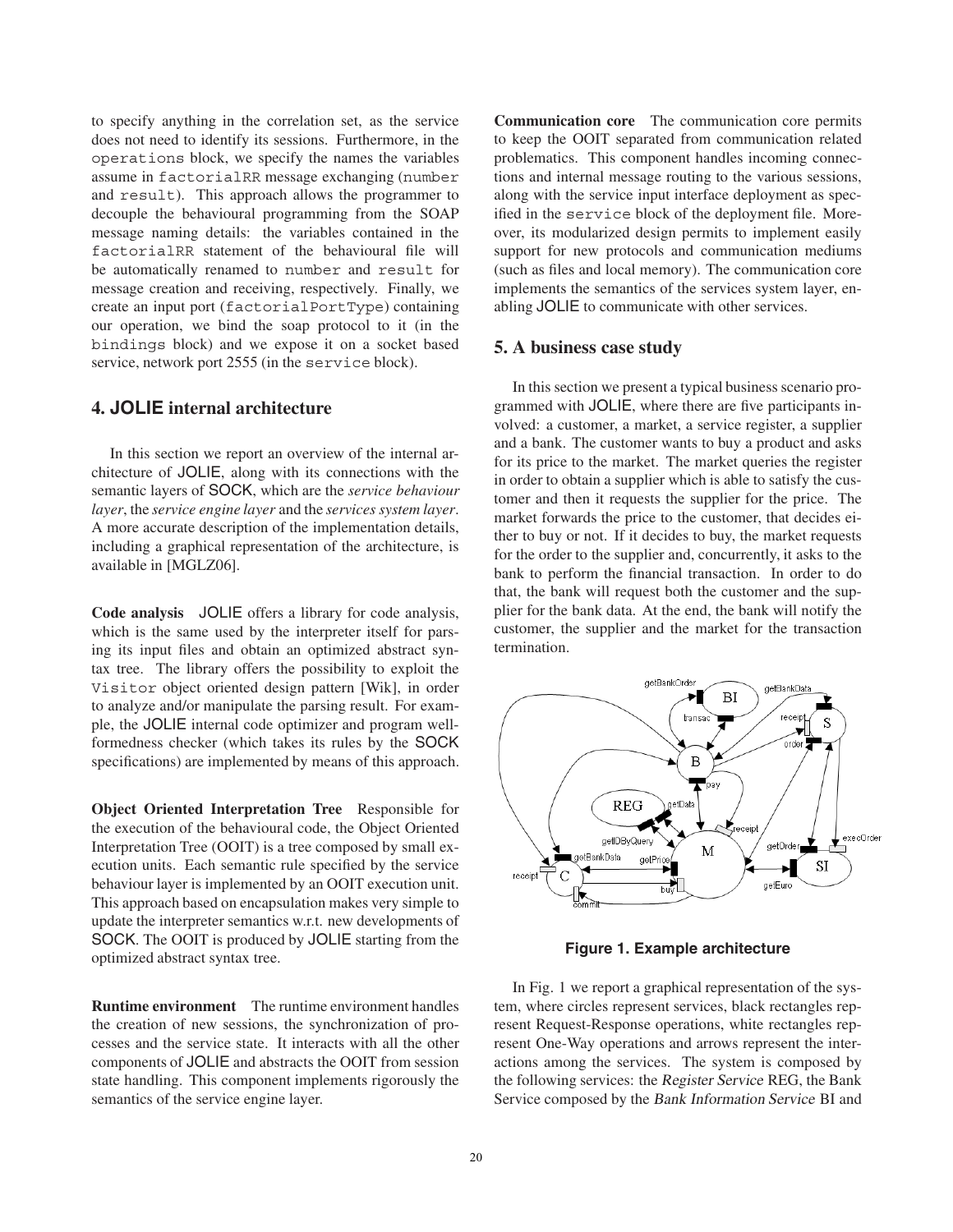to specify anything in the correlation set, as the service does not need to identify its sessions. Furthermore, in the operations block, we specify the names the variables assume in factorialRR message exchanging (number and result). This approach allows the programmer to decouple the behavioural programming from the SOAP message naming details: the variables contained in the factorialRR statement of the behavioural file will be automatically renamed to number and result for message creation and receiving, respectively. Finally, we create an input port (factorialPortType) containing our operation, we bind the soap protocol to it (in the bindings block) and we expose it on a socket based service, network port 2555 (in the service block).

### **4. JOLIE internal architecture**

In this section we report an overview of the internal architecture of JOLIE, along with its connections with the semantic layers of SOCK, which are the *service behaviour layer*, the *service engine layer* and the *services system layer*. A more accurate description of the implementation details, including a graphical representation of the architecture, is available in [MGLZ06].

**Code analysis** JOLIE offers a library for code analysis, which is the same used by the interpreter itself for parsing its input files and obtain an optimized abstract syntax tree. The library offers the possibility to exploit the Visitor object oriented design pattern [Wik], in order to analyze and/or manipulate the parsing result. For example, the JOLIE internal code optimizer and program wellformedness checker (which takes its rules by the SOCK specifications) are implemented by means of this approach.

**Object Oriented Interpretation Tree** Responsible for the execution of the behavioural code, the Object Oriented Interpretation Tree (OOIT) is a tree composed by small execution units. Each semantic rule specified by the service behaviour layer is implemented by an OOIT execution unit. This approach based on encapsulation makes very simple to update the interpreter semantics w.r.t. new developments of SOCK. The OOIT is produced by JOLIE starting from the optimized abstract syntax tree.

**Runtime environment** The runtime environment handles the creation of new sessions, the synchronization of processes and the service state. It interacts with all the other components of JOLIE and abstracts the OOIT from session state handling. This component implements rigorously the semantics of the service engine layer.

**Communication core** The communication core permits to keep the OOIT separated from communication related problematics. This component handles incoming connections and internal message routing to the various sessions, along with the service input interface deployment as specified in the service block of the deployment file. Moreover, its modularized design permits to implement easily support for new protocols and communication mediums (such as files and local memory). The communication core implements the semantics of the services system layer, enabling JOLIE to communicate with other services.

#### **5. A business case study**

In this section we present a typical business scenario programmed with JOLIE, where there are five participants involved: a customer, a market, a service register, a supplier and a bank. The customer wants to buy a product and asks for its price to the market. The market queries the register in order to obtain a supplier which is able to satisfy the customer and then it requests the supplier for the price. The market forwards the price to the customer, that decides either to buy or not. If it decides to buy, the market requests for the order to the supplier and, concurrently, it asks to the bank to perform the financial transaction. In order to do that, the bank will request both the customer and the supplier for the bank data. At the end, the bank will notify the customer, the supplier and the market for the transaction termination.



**Figure 1. Example architecture**

In Fig. 1 we report a graphical representation of the system, where circles represent services, black rectangles represent Request-Response operations, white rectangles represent One-Way operations and arrows represent the interactions among the services. The system is composed by the following services: the Register Service REG, the Bank Service composed by the Bank Information Service BI and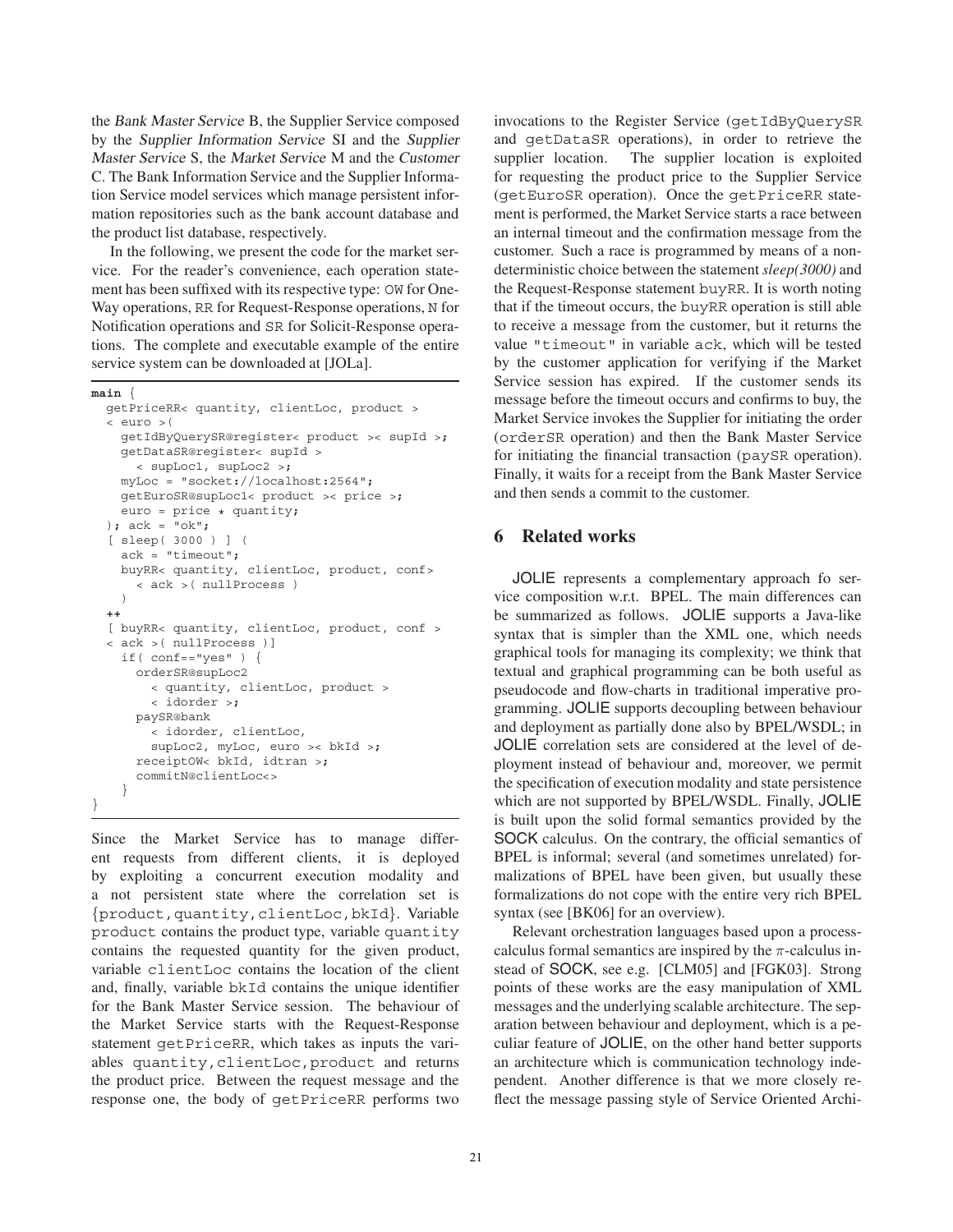the Bank Master Service B, the Supplier Service composed by the Supplier Information Service SI and the Supplier Master Service S, the Market Service M and the Customer C. The Bank Information Service and the Supplier Information Service model services which manage persistent information repositories such as the bank account database and the product list database, respectively.

In the following, we present the code for the market service. For the reader's convenience, each operation statement has been suffixed with its respective type: OW for One-Way operations, RR for Request-Response operations, N for Notification operations and SR for Solicit-Response operations. The complete and executable example of the entire service system can be downloaded at [JOLa].

#### **main** {

```
getPriceRR< quantity, clientLoc, product >
 < euro >(
   getIdByQuerySR@register< product >< supId >;
   getDataSR@register< supId >
     < supLoc1, supLoc2 >;
   myLoc = "socket://localhost:2564";
   getEuroSR@supLoc1< product >< price >;
   euro = price * quantity;
 ); ack = "ok";
  [ sleep( 3000 ) ] (
   ack = "timeout";
   buyRR< quantity, clientLoc, product, conf>
     < ack >( nullProcess )
   )
 ++
 [ buyRR< quantity, clientLoc, product, conf >
 < ack >( nullProcess )]
   if( conf=="yes" ) {
     orderSR@supLoc2
       < quantity, clientLoc, product >
        < idorder >;
     paySR@bank
       < idorder, clientLoc,
       supLoc2, myLoc, euro >< bkId >;
     receiptOW< bkId, idtran >;
     commitN@clientLoc<>
   }
}
```
Since the Market Service has to manage different requests from different clients, it is deployed by exploiting a concurrent execution modality and a not persistent state where the correlation set is {product,quantity,clientLoc,bkId}. Variable product contains the product type, variable quantity contains the requested quantity for the given product, variable clientLoc contains the location of the client and, finally, variable bkId contains the unique identifier for the Bank Master Service session. The behaviour of the Market Service starts with the Request-Response statement getPriceRR, which takes as inputs the variables quantity,clientLoc,product and returns the product price. Between the request message and the response one, the body of getPriceRR performs two invocations to the Register Service (getIdByQuerySR and getDataSR operations), in order to retrieve the supplier location. The supplier location is exploited for requesting the product price to the Supplier Service (getEuroSR operation). Once the getPriceRR statement is performed, the Market Service starts a race between an internal timeout and the confirmation message from the customer. Such a race is programmed by means of a nondeterministic choice between the statement *sleep(3000)* and the Request-Response statement buyRR. It is worth noting that if the timeout occurs, the buyRR operation is still able to receive a message from the customer, but it returns the value "timeout" in variable ack, which will be tested by the customer application for verifying if the Market Service session has expired. If the customer sends its message before the timeout occurs and confirms to buy, the Market Service invokes the Supplier for initiating the order (orderSR operation) and then the Bank Master Service for initiating the financial transaction (paySR operation). Finally, it waits for a receipt from the Bank Master Service and then sends a commit to the customer.

### **6 Related works**

JOLIE represents a complementary approach fo service composition w.r.t. BPEL. The main differences can be summarized as follows. JOLIE supports a Java-like syntax that is simpler than the XML one, which needs graphical tools for managing its complexity; we think that textual and graphical programming can be both useful as pseudocode and flow-charts in traditional imperative programming. JOLIE supports decoupling between behaviour and deployment as partially done also by BPEL/WSDL; in JOLIE correlation sets are considered at the level of deployment instead of behaviour and, moreover, we permit the specification of execution modality and state persistence which are not supported by BPEL/WSDL. Finally, JOLIE is built upon the solid formal semantics provided by the SOCK calculus. On the contrary, the official semantics of BPEL is informal; several (and sometimes unrelated) formalizations of BPEL have been given, but usually these formalizations do not cope with the entire very rich BPEL syntax (see [BK06] for an overview).

Relevant orchestration languages based upon a processcalculus formal semantics are inspired by the  $\pi$ -calculus instead of SOCK, see e.g. [CLM05] and [FGK03]. Strong points of these works are the easy manipulation of XML messages and the underlying scalable architecture. The separation between behaviour and deployment, which is a peculiar feature of JOLIE, on the other hand better supports an architecture which is communication technology independent. Another difference is that we more closely reflect the message passing style of Service Oriented Archi